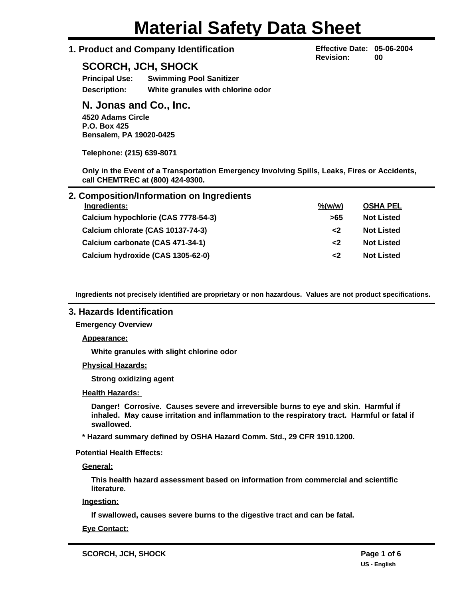# **1. Product and Company Identification**

# **SCORCH, JCH, SHOCK**

**Principal Use: Swimming Pool Sanitizer Description: White granules with chlorine odor**

# **N. Jonas and Co., Inc.**

**4520 Adams Circle P.O. Box 425 Bensalem, PA 19020-0425**

**Telephone: (215) 639-8071**

**Only in the Event of a Transportation Emergency Involving Spills, Leaks, Fires or Accidents, call CHEMTREC at (800) 424-9300.**

| 2. Composition/Information on Ingredients |                             |                   |
|-------------------------------------------|-----------------------------|-------------------|
| Ingredients:                              | $\frac{\%(\text{w/w})}{\%}$ | <b>OSHA PEL</b>   |
| Calcium hypochlorie (CAS 7778-54-3)       | >65                         | <b>Not Listed</b> |
| Calcium chlorate (CAS 10137-74-3)         | $\epsilon$                  | <b>Not Listed</b> |
| Calcium carbonate (CAS 471-34-1)          | $\leq$                      | <b>Not Listed</b> |
| Calcium hydroxide (CAS 1305-62-0)         | $\mathbf{<}2$               | <b>Not Listed</b> |

**Ingredients not precisely identified are proprietary or non hazardous. Values are not product specifications.**

# **3. Hazards Identification**

**Emergency Overview**

**Appearance:**

**White granules with slight chlorine odor**

**Physical Hazards:**

**Strong oxidizing agent**

#### **Health Hazards:**

**Danger! Corrosive. Causes severe and irreversible burns to eye and skin. Harmful if inhaled. May cause irritation and inflammation to the respiratory tract. Harmful or fatal if swallowed.**

**\* Hazard summary defined by OSHA Hazard Comm. Std., 29 CFR 1910.1200.**

**Potential Health Effects:**

**General:**

**This health hazard assessment based on information from commercial and scientific literature.**

**Ingestion:**

**If swallowed, causes severe burns to the digestive tract and can be fatal.**

**Eye Contact:**

**Effective Date: 05-06-2004 Revision: 00**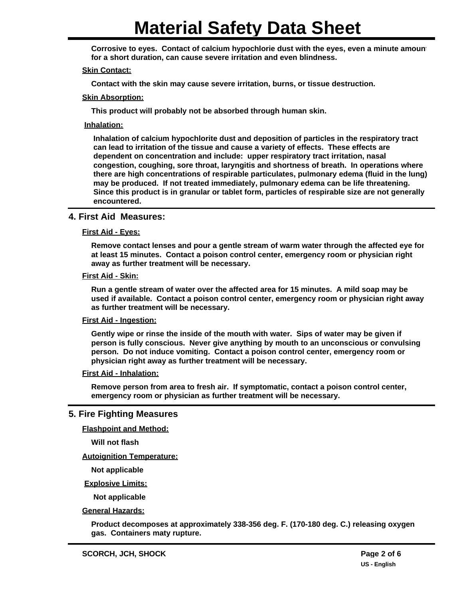Corrosive to eyes. Contact of calcium hypochlorie dust with the eyes, even a minute amoun **for a short duration, can cause severe irritation and even blindness.**

#### **Skin Contact:**

**Contact with the skin may cause severe irritation, burns, or tissue destruction.**

#### **Skin Absorption:**

**This product will probably not be absorbed through human skin.**

#### **Inhalation:**

**Inhalation of calcium hypochlorite dust and deposition of particles in the respiratory tract can lead to irritation of the tissue and cause a variety of effects. These effects are dependent on concentration and include: upper respiratory tract irritation, nasal congestion, coughing, sore throat, laryngitis and shortness of breath. In operations where there are high concentrations of respirable particulates, pulmonary edema (fluid in the lung) may be produced. If not treated immediately, pulmonary edema can be life threatening. Since this product is in granular or tablet form, particles of respirable size are not generally encountered.**

#### **4. First Aid Measures:**

#### **First Aid - Eyes:**

**Remove contact lenses and pour a gentle stream of warm water through the affected eye for at least 15 minutes. Contact a poison control center, emergency room or physician right away as further treatment will be necessary.**

#### **First Aid - Skin:**

**Run a gentle stream of water over the affected area for 15 minutes. A mild soap may be used if available. Contact a poison control center, emergency room or physician right away as further treatment will be necessary.**

#### **First Aid - Ingestion:**

**Gently wipe or rinse the inside of the mouth with water. Sips of water may be given if person is fully conscious. Never give anything by mouth to an unconscious or convulsing person. Do not induce vomiting. Contact a poison control center, emergency room or physician right away as further treatment will be necessary.**

#### **First Aid - Inhalation:**

**Remove person from area to fresh air. If symptomatic, contact a poison control center, emergency room or physician as further treatment will be necessary.**

#### **5. Fire Fighting Measures**

**Flashpoint and Method:**

**Will not flash**

**Autoignition Temperature:**

**Not applicable**

**Explosive Limits:**

**Not applicable**

**General Hazards:**

**Product decomposes at approximately 338-356 deg. F. (170-180 deg. C.) releasing oxygen gas. Containers maty rupture.**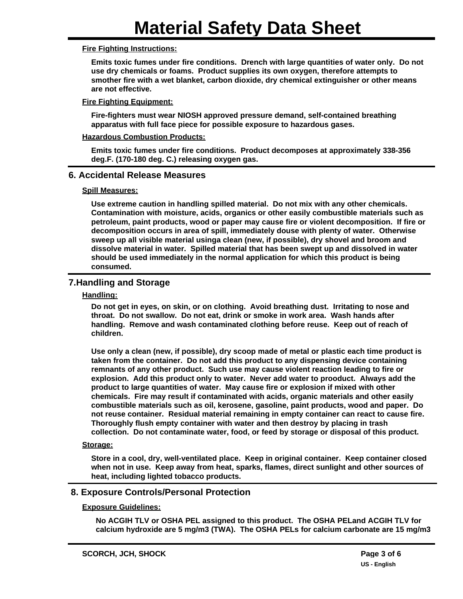#### **Fire Fighting Instructions:**

**Emits toxic fumes under fire conditions. Drench with large quantities of water only. Do not use dry chemicals or foams. Product supplies its own oxygen, therefore attempts to smother fire with a wet blanket, carbon dioxide, dry chemical extinguisher or other means are not effective.**

#### **Fire Fighting Equipment:**

**Fire-fighters must wear NIOSH approved pressure demand, self-contained breathing apparatus with full face piece for possible exposure to hazardous gases.**

#### **Hazardous Combustion Products:**

**Emits toxic fumes under fire conditions. Product decomposes at approximately 338-356 deg.F. (170-180 deg. C.) releasing oxygen gas.**

#### **6. Accidental Release Measures**

#### **Spill Measures:**

**Use extreme caution in handling spilled material. Do not mix with any other chemicals. Contamination with moisture, acids, organics or other easily combustible materials such as petroleum, paint products, wood or paper may cause fire or violent decomposition. If fire or decomposition occurs in area of spill, immediately douse with plenty of water. Otherwise sweep up all visible material usinga clean (new, if possible), dry shovel and broom and dissolve material in water. Spilled material that has been swept up and dissolved in water should be used immediately in the normal application for which this product is being consumed.**

# **7.Handling and Storage**

#### **Handling:**

**Do not get in eyes, on skin, or on clothing. Avoid breathing dust. Irritating to nose and throat. Do not swallow. Do not eat, drink or smoke in work area. Wash hands after handling. Remove and wash contaminated clothing before reuse. Keep out of reach of children.**

**Use only a clean (new, if possible), dry scoop made of metal or plastic each time product is taken from the container. Do not add this product to any dispensing device containing remnants of any other product. Such use may cause violent reaction leading to fire or explosion. Add this product only to water. Never add water to prooduct. Always add the product to large quantities of water. May cause fire or explosion if mixed with other chemicals. Fire may result if contaminated with acids, organic materials and other easily combustible materials such as oil, kerosene, gasoline, paint products, wood and paper. Do not reuse container. Residual material remaining in empty container can react to cause fire. Thoroughly flush empty container with water and then destroy by placing in trash collection. Do not contaminate water, food, or feed by storage or disposal of this product.**

# **Storage:**

**Store in a cool, dry, well-ventilated place. Keep in original container. Keep container closed when not in use. Keep away from heat, sparks, flames, direct sunlight and other sources of heat, including lighted tobacco products.**

# **8. Exposure Controls/Personal Protection**

# **Exposure Guidelines:**

**No ACGIH TLV or OSHA PEL assigned to this product. The OSHA PELand ACGIH TLV for calcium hydroxide are 5 mg/m3 (TWA). The OSHA PELs for calcium carbonate are 15 mg/m3**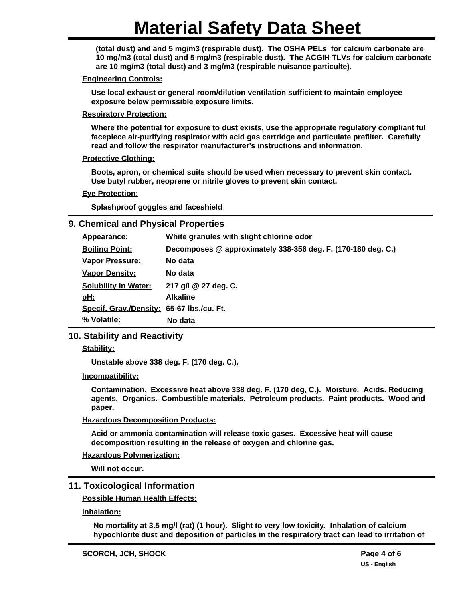**(total dust) and and 5 mg/m3 (respirable dust). The OSHA PELs for calcium carbonate are 10 mg/m3 (total dust) and 5 mg/m3 (respirable dust). The ACGIH TLVs for calcium carbonate are 10 mg/m3 (total dust) and 3 mg/m3 (respirable nuisance particulte).**

#### **Engineering Controls:**

**Use local exhaust or general room/dilution ventilation sufficient to maintain employee exposure below permissible exposure limits.**

#### **Respiratory Protection:**

**Where the potential for exposure to dust exists, use the appropriate regulatory compliant full facepiece air-purifying respirator with acid gas cartridge and particulate prefilter. Carefully read and follow the respirator manufacturer's instructions and information.**

#### **Protective Clothing:**

**Boots, apron, or chemical suits should be used when necessary to prevent skin contact. Use butyl rubber, neoprene or nitrile gloves to prevent skin contact.**

#### **Eye Protection:**

**Splashproof goggles and faceshield**

#### **9. Chemical and Physical Properties**

| Appearance:                               | White granules with slight chlorine odor                     |
|-------------------------------------------|--------------------------------------------------------------|
| <b>Boiling Point:</b>                     | Decomposes @ approximately 338-356 deg. F. (170-180 deg. C.) |
| <b>Vapor Pressure:</b>                    | No data                                                      |
| <b>Vapor Density:</b>                     | No data                                                      |
| <b>Solubility in Water:</b>               | 217 g/l @ 27 deg. C.                                         |
| <u>pH:</u>                                | <b>Alkaline</b>                                              |
| Specif. Grav./Density: 65-67 lbs./cu. Ft. |                                                              |
| % Volatile:                               | No data                                                      |

# **10. Stability and Reactivity**

**Stability:**

**Unstable above 338 deg. F. (170 deg. C.).**

#### **Incompatibility:**

**Contamination. Excessive heat above 338 deg. F. (170 deg, C.). Moisture. Acids. Reducing agents. Organics. Combustible materials. Petroleum products. Paint products. Wood and paper.**

#### **Hazardous Decomposition Products:**

**Acid or ammonia contamination will release toxic gases. Excessive heat will cause decomposition resulting in the release of oxygen and chlorine gas.**

#### **Hazardous Polymerization:**

**Will not occur.**

# **11. Toxicological Information**

**Possible Human Health Effects:**

**Inhalation:**

**No mortality at 3.5 mg/l (rat) (1 hour). Slight to very low toxicity. Inhalation of calcium hypochlorite dust and deposition of particles in the respiratory tract can lead to irritation of**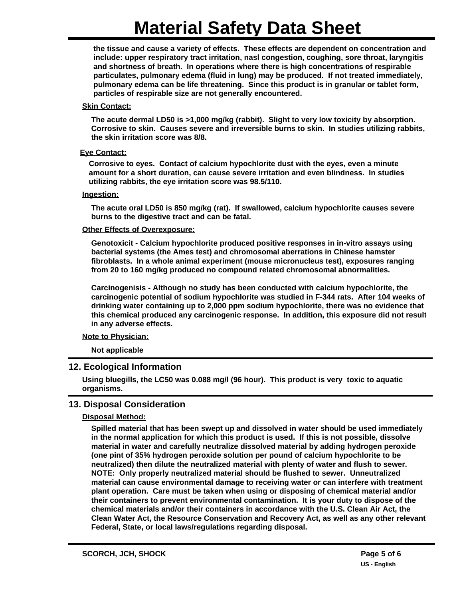**the tissue and cause a variety of effects. These effects are dependent on concentration and include: upper respiratory tract irritation, nasl congestion, coughing, sore throat, laryngitis and shortness of breath. In operations where there is high concentrations of respirable particulates, pulmonary edema (fluid in lung) may be produced. If not treated immediately, pulmonary edema can be life threatening. Since this product is in granular or tablet form, particles of respirable size are not generally encountered.**

#### **Skin Contact:**

**The acute dermal LD50 is >1,000 mg/kg (rabbit). Slight to very low toxicity by absorption. Corrosive to skin. Causes severe and irreversible burns to skin. In studies utilizing rabbits, the skin irritation score was 8/8.**

#### **Eye Contact:**

**Corrosive to eyes. Contact of calcium hypochlorite dust with the eyes, even a minute amount for a short duration, can cause severe irritation and even blindness. In studies utilizing rabbits, the eye irritation score was 98.5/110.**

#### **Ingestion:**

**The acute oral LD50 is 850 mg/kg (rat). If swallowed, calcium hypochlorite causes severe burns to the digestive tract and can be fatal.**

#### **Other Effects of Overexposure:**

**Genotoxicit - Calcium hypochlorite produced positive responses in in-vitro assays using bacterial systems (the Ames test) and chromosomal aberrations in Chinese hamster fibroblasts. In a whole animal experiment (mouse micronucleus test), exposures ranging from 20 to 160 mg/kg produced no compound related chromosomal abnormalities.**

**Carcinogenisis - Although no study has been conducted with calcium hypochlorite, the carcinogenic potential of sodium hypochlorite was studied in F-344 rats. After 104 weeks of drinking water containing up to 2,000 ppm sodium hypochlorite, there was no evidence that this chemical produced any carcinogenic response. In addition, this exposure did not result in any adverse effects.**

#### **Note to Physician:**

**Not applicable**

# **12. Ecological Information**

**Using bluegills, the LC50 was 0.088 mg/l (96 hour). This product is very toxic to aquatic organisms.**

#### **13. Disposal Consideration**

#### **Disposal Method:**

**Spilled material that has been swept up and dissolved in water should be used immediately in the normal application for which this product is used. If this is not possible, dissolve material in water and carefully neutralize dissolved material by adding hydrogen peroxide (one pint of 35% hydrogen peroxide solution per pound of calcium hypochlorite to be neutralized) then dilute the neutralized material with plenty of water and flush to sewer. NOTE: Only properly neutralized material should be flushed to sewer. Unneutralized material can cause environmental damage to receiving water or can interfere with treatment plant operation. Care must be taken when using or disposing of chemical material and/or their containers to prevent environmental contamination. It is your duty to dispose of the chemical materials and/or their containers in accordance with the U.S. Clean Air Act, the Clean Water Act, the Resource Conservation and Recovery Act, as well as any other relevant Federal, State, or local laws/regulations regarding disposal.**